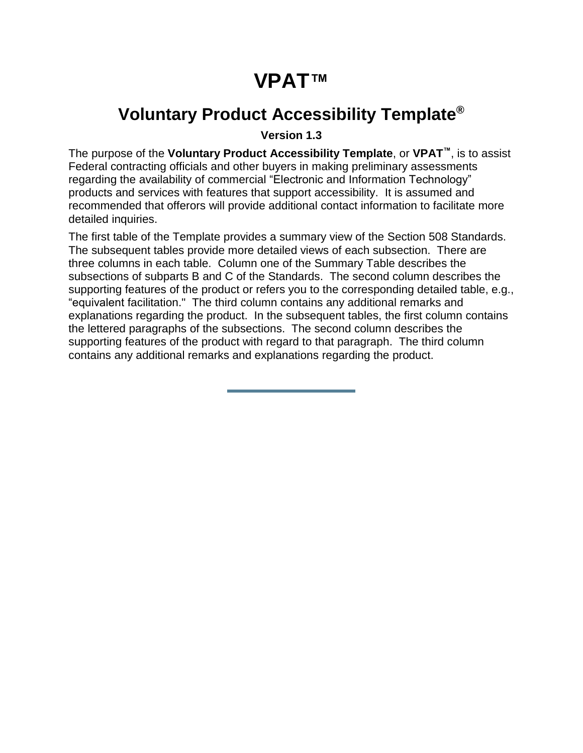# **VPAT™**

## <span id="page-0-0"></span>**Voluntary Product Accessibility Template®**

**Version 1.3**

The purpose of the **Voluntary Product Accessibility Template**, or **VPAT™**, is to assist Federal contracting officials and other buyers in making preliminary assessments regarding the availability of commercial "Electronic and Information Technology" products and services with features that support accessibility. It is assumed and recommended that offerors will provide additional contact information to facilitate more detailed inquiries.

The first table of the Template provides a summary view of the Section 508 Standards. The subsequent tables provide more detailed views of each subsection. There are three columns in each table. Column one of the Summary Table describes the subsections of subparts B and C of the Standards. The second column describes the supporting features of the product or refers you to the corresponding detailed table, e.g., "equivalent facilitation." The third column contains any additional remarks and explanations regarding the product. In the subsequent tables, the first column contains the lettered paragraphs of the subsections. The second column describes the supporting features of the product with regard to that paragraph. The third column contains any additional remarks and explanations regarding the product.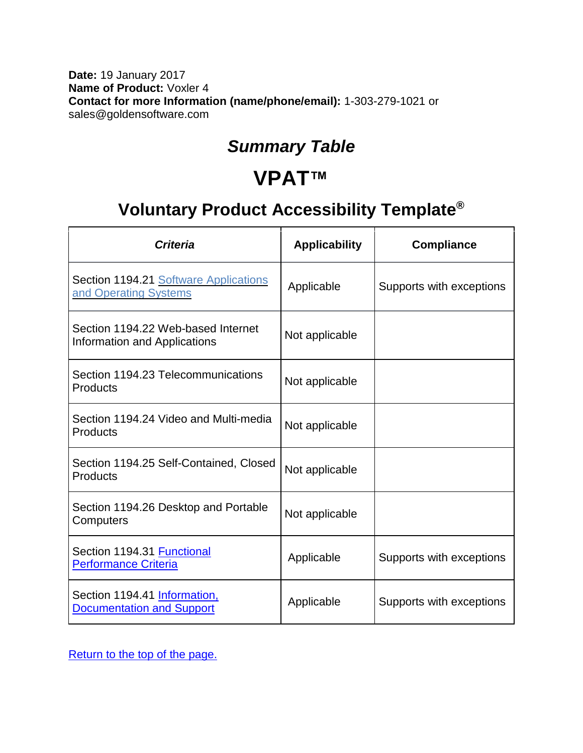#### **Date:** 19 January 2017 **Name of Product:** Voxler 4 **Contact for more Information (name/phone/email):** 1-303-279-1021 or sales@goldensoftware.com

### *Summary Table*

## **VPAT™**

## **Voluntary Product Accessibility Template®**

| Criteria                                                                  | <b>Applicability</b> | <b>Compliance</b>        |
|---------------------------------------------------------------------------|----------------------|--------------------------|
| Section 1194.21 Software Applications<br>and Operating Systems            | Applicable           | Supports with exceptions |
| Section 1194.22 Web-based Internet<br><b>Information and Applications</b> | Not applicable       |                          |
| Section 1194.23 Telecommunications<br>Products                            | Not applicable       |                          |
| Section 1194.24 Video and Multi-media<br>Products                         | Not applicable       |                          |
| Section 1194.25 Self-Contained, Closed<br>Products                        | Not applicable       |                          |
| Section 1194.26 Desktop and Portable<br>Computers                         | Not applicable       |                          |
| Section 1194.31 Functional<br><b>Performance Criteria</b>                 | Applicable           | Supports with exceptions |
| Section 1194.41 Information,<br><b>Documentation and Support</b>          | Applicable           | Supports with exceptions |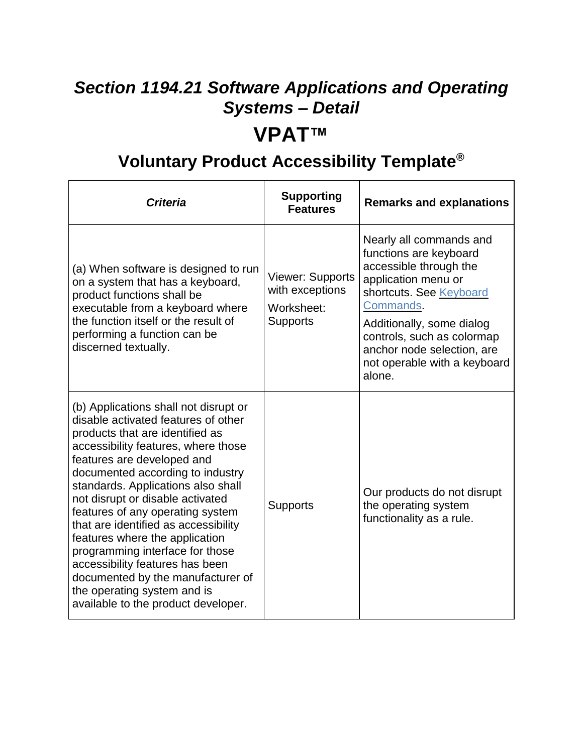### <span id="page-2-0"></span>*Section 1194.21 Software Applications and Operating Systems – Detail*

## **VPAT™**

## **Voluntary Product Accessibility Template®**

| <b>Criteria</b>                                                                                                                                                                                                                                                                                                                                                                                                                                                                                                                                                                                   | <b>Supporting</b><br><b>Features</b>                                        | <b>Remarks and explanations</b>                                                                                                                                                                                                                                               |
|---------------------------------------------------------------------------------------------------------------------------------------------------------------------------------------------------------------------------------------------------------------------------------------------------------------------------------------------------------------------------------------------------------------------------------------------------------------------------------------------------------------------------------------------------------------------------------------------------|-----------------------------------------------------------------------------|-------------------------------------------------------------------------------------------------------------------------------------------------------------------------------------------------------------------------------------------------------------------------------|
| (a) When software is designed to run<br>on a system that has a keyboard,<br>product functions shall be<br>executable from a keyboard where<br>the function itself or the result of<br>performing a function can be<br>discerned textually.                                                                                                                                                                                                                                                                                                                                                        | <b>Viewer: Supports</b><br>with exceptions<br>Worksheet:<br><b>Supports</b> | Nearly all commands and<br>functions are keyboard<br>accessible through the<br>application menu or<br>shortcuts. See Keyboard<br>Commands.<br>Additionally, some dialog<br>controls, such as colormap<br>anchor node selection, are<br>not operable with a keyboard<br>alone. |
| (b) Applications shall not disrupt or<br>disable activated features of other<br>products that are identified as<br>accessibility features, where those<br>features are developed and<br>documented according to industry<br>standards. Applications also shall<br>not disrupt or disable activated<br>features of any operating system<br>that are identified as accessibility<br>features where the application<br>programming interface for those<br>accessibility features has been<br>documented by the manufacturer of<br>the operating system and is<br>available to the product developer. | <b>Supports</b>                                                             | Our products do not disrupt<br>the operating system<br>functionality as a rule.                                                                                                                                                                                               |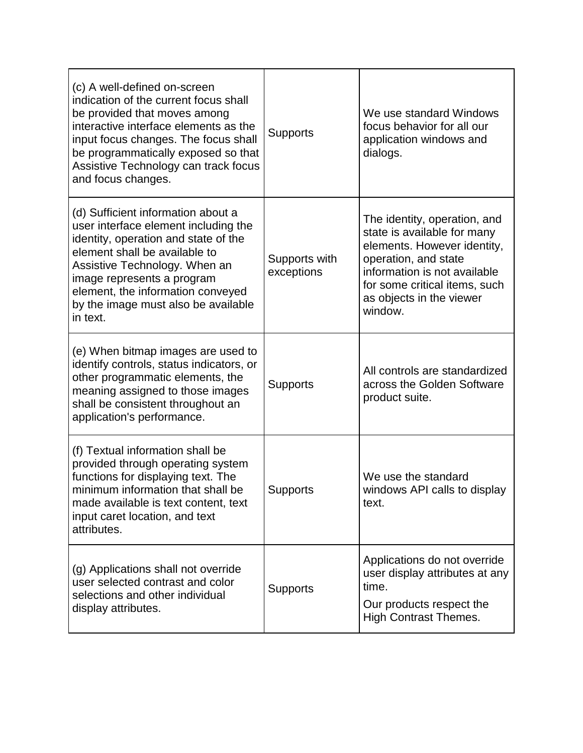| (c) A well-defined on-screen<br>indication of the current focus shall<br>be provided that moves among<br>interactive interface elements as the<br>input focus changes. The focus shall<br>be programmatically exposed so that<br>Assistive Technology can track focus<br>and focus changes.                | <b>Supports</b>             | We use standard Windows<br>focus behavior for all our<br>application windows and<br>dialogs.                                                                                                                               |
|------------------------------------------------------------------------------------------------------------------------------------------------------------------------------------------------------------------------------------------------------------------------------------------------------------|-----------------------------|----------------------------------------------------------------------------------------------------------------------------------------------------------------------------------------------------------------------------|
| (d) Sufficient information about a<br>user interface element including the<br>identity, operation and state of the<br>element shall be available to<br>Assistive Technology. When an<br>image represents a program<br>element, the information conveyed<br>by the image must also be available<br>in text. | Supports with<br>exceptions | The identity, operation, and<br>state is available for many<br>elements. However identity,<br>operation, and state<br>information is not available<br>for some critical items, such<br>as objects in the viewer<br>window. |
| (e) When bitmap images are used to<br>identify controls, status indicators, or<br>other programmatic elements, the<br>meaning assigned to those images<br>shall be consistent throughout an<br>application's performance.                                                                                  | <b>Supports</b>             | All controls are standardized<br>across the Golden Software<br>product suite.                                                                                                                                              |
| (f) Textual information shall be<br>provided through operating system<br>functions for displaying text. The<br>minimum information that shall be<br>made available is text content, text<br>input caret location, and text<br>attributes.                                                                  | <b>Supports</b>             | We use the standard<br>windows API calls to display<br>text.                                                                                                                                                               |
| (g) Applications shall not override<br>user selected contrast and color<br>selections and other individual<br>display attributes.                                                                                                                                                                          | <b>Supports</b>             | Applications do not override<br>user display attributes at any<br>time.<br>Our products respect the<br><b>High Contrast Themes.</b>                                                                                        |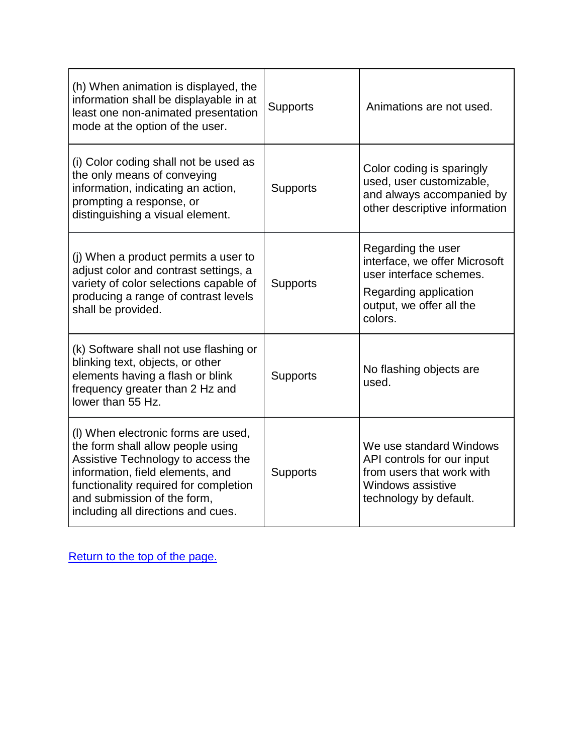<span id="page-4-0"></span>

| (h) When animation is displayed, the<br>information shall be displayable in at<br>least one non-animated presentation<br>mode at the option of the user.                                                                                                         | <b>Supports</b> | Animations are not used.                                                                                                                       |
|------------------------------------------------------------------------------------------------------------------------------------------------------------------------------------------------------------------------------------------------------------------|-----------------|------------------------------------------------------------------------------------------------------------------------------------------------|
| (i) Color coding shall not be used as<br>the only means of conveying<br>information, indicating an action,<br>prompting a response, or<br>distinguishing a visual element.                                                                                       | <b>Supports</b> | Color coding is sparingly<br>used, user customizable,<br>and always accompanied by<br>other descriptive information                            |
| (i) When a product permits a user to<br>adjust color and contrast settings, a<br>variety of color selections capable of<br>producing a range of contrast levels<br>shall be provided.                                                                            | <b>Supports</b> | Regarding the user<br>interface, we offer Microsoft<br>user interface schemes.<br>Regarding application<br>output, we offer all the<br>colors. |
| (k) Software shall not use flashing or<br>blinking text, objects, or other<br>elements having a flash or blink<br>frequency greater than 2 Hz and<br>lower than 55 Hz.                                                                                           | <b>Supports</b> | No flashing objects are<br>used.                                                                                                               |
| (I) When electronic forms are used,<br>the form shall allow people using<br>Assistive Technology to access the<br>information, field elements, and<br>functionality required for completion<br>and submission of the form,<br>including all directions and cues. | <b>Supports</b> | We use standard Windows<br>API controls for our input<br>from users that work with<br>Windows assistive<br>technology by default.              |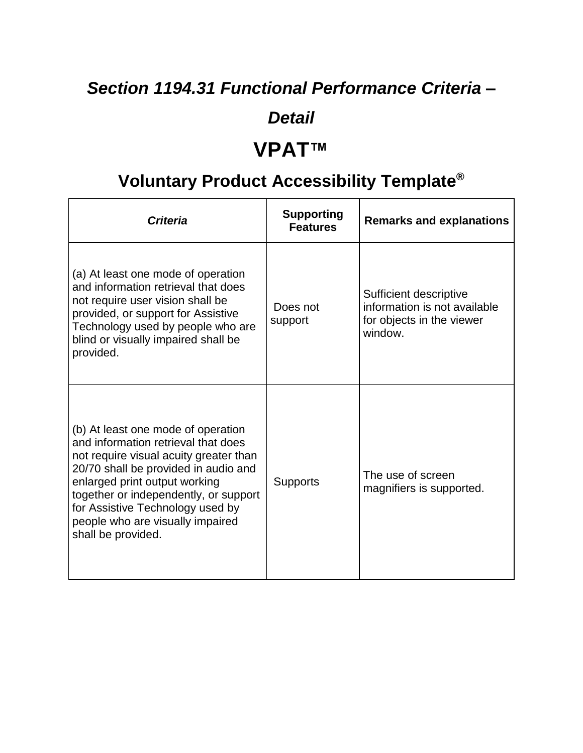# *Section 1194.31 Functional Performance Criteria –*

#### *Detail*

## **VPAT™**

# **Voluntary Product Accessibility Template®**

| <b>Criteria</b>                                                                                                                                                                                                                                                                                                                     | <b>Supporting</b><br><b>Features</b> | <b>Remarks and explanations</b>                                                                |
|-------------------------------------------------------------------------------------------------------------------------------------------------------------------------------------------------------------------------------------------------------------------------------------------------------------------------------------|--------------------------------------|------------------------------------------------------------------------------------------------|
| (a) At least one mode of operation<br>and information retrieval that does<br>not require user vision shall be<br>provided, or support for Assistive<br>Technology used by people who are<br>blind or visually impaired shall be<br>provided.                                                                                        | Does not<br>support                  | Sufficient descriptive<br>information is not available<br>for objects in the viewer<br>window. |
| (b) At least one mode of operation<br>and information retrieval that does<br>not require visual acuity greater than<br>20/70 shall be provided in audio and<br>enlarged print output working<br>together or independently, or support<br>for Assistive Technology used by<br>people who are visually impaired<br>shall be provided. | <b>Supports</b>                      | The use of screen<br>magnifiers is supported.                                                  |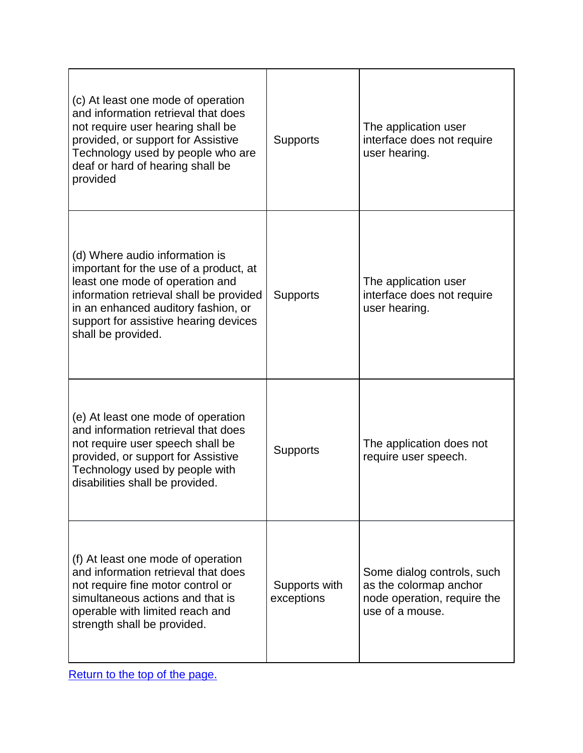| (c) At least one mode of operation<br>and information retrieval that does<br>not require user hearing shall be<br>provided, or support for Assistive<br>Technology used by people who are<br>deaf or hard of hearing shall be<br>provided                    | <b>Supports</b>             | The application user<br>interface does not require<br>user hearing.                                    |
|--------------------------------------------------------------------------------------------------------------------------------------------------------------------------------------------------------------------------------------------------------------|-----------------------------|--------------------------------------------------------------------------------------------------------|
| (d) Where audio information is<br>important for the use of a product, at<br>least one mode of operation and<br>information retrieval shall be provided<br>in an enhanced auditory fashion, or<br>support for assistive hearing devices<br>shall be provided. | <b>Supports</b>             | The application user<br>interface does not require<br>user hearing.                                    |
| (e) At least one mode of operation<br>and information retrieval that does<br>not require user speech shall be<br>provided, or support for Assistive<br>Technology used by people with<br>disabilities shall be provided.                                     | <b>Supports</b>             | The application does not<br>require user speech.                                                       |
| (f) At least one mode of operation<br>and information retrieval that does<br>not require fine motor control or<br>simultaneous actions and that is<br>operable with limited reach and<br>strength shall be provided.                                         | Supports with<br>exceptions | Some dialog controls, such<br>as the colormap anchor<br>node operation, require the<br>use of a mouse. |